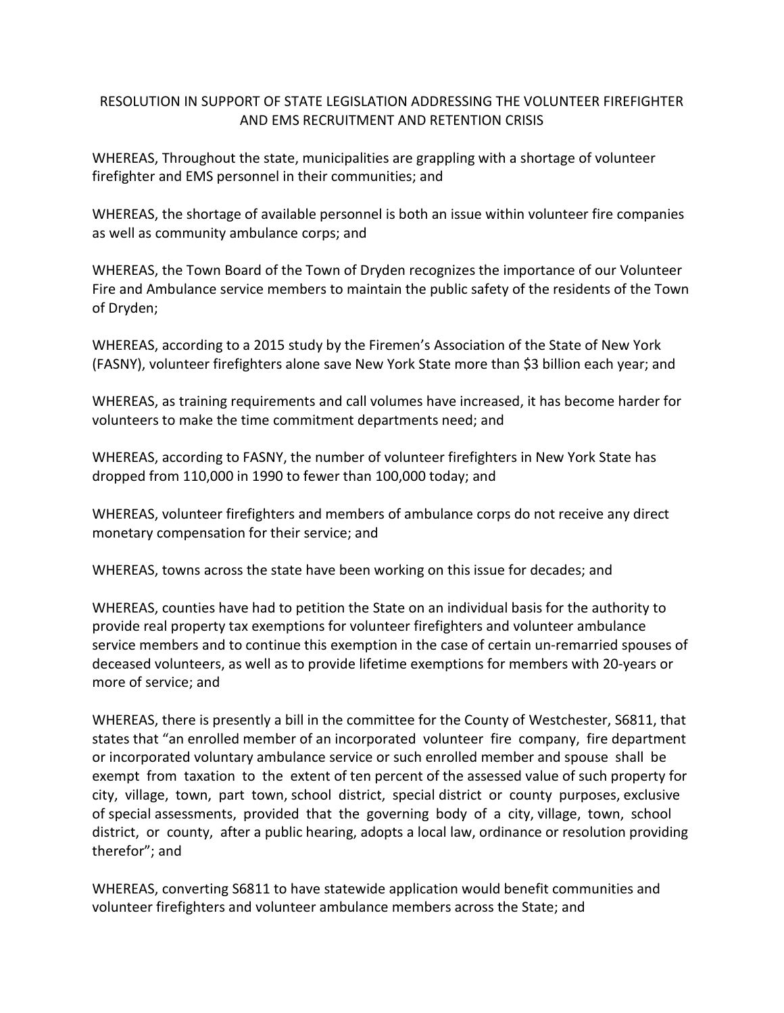## RESOLUTION IN SUPPORT OF STATE LEGISLATION ADDRESSING THE VOLUNTEER FIREFIGHTER AND EMS RECRUITMENT AND RETENTION CRISIS

WHEREAS, Throughout the state, municipalities are grappling with a shortage of volunteer firefighter and EMS personnel in their communities; and

WHEREAS, the shortage of available personnel is both an issue within volunteer fire companies as well as community ambulance corps; and

WHEREAS, the Town Board of the Town of Dryden recognizes the importance of our Volunteer Fire and Ambulance service members to maintain the public safety of the residents of the Town of Dryden;

WHEREAS, according to a 2015 study by the Firemen's Association of the State of New York (FASNY), volunteer firefighters alone save New York State more than \$3 billion each year; and

WHEREAS, as training requirements and call volumes have increased, it has become harder for volunteers to make the time commitment departments need; and

WHEREAS, according to FASNY, the number of volunteer firefighters in New York State has dropped from 110,000 in 1990 to fewer than 100,000 today; and

WHEREAS, volunteer firefighters and members of ambulance corps do not receive any direct monetary compensation for their service; and

WHEREAS, towns across the state have been working on this issue for decades; and

WHEREAS, counties have had to petition the State on an individual basis for the authority to provide real property tax exemptions for volunteer firefighters and volunteer ambulance service members and to continue this exemption in the case of certain un-remarried spouses of deceased volunteers, as well as to provide lifetime exemptions for members with 20-years or more of service; and

WHEREAS, there is presently a bill in the committee for the County of Westchester, S6811, that states that "an enrolled member of an incorporated volunteer fire company, fire department or incorporated voluntary ambulance service or such enrolled member and spouse shall be exempt from taxation to the extent of ten percent of the assessed value of such property for city, village, town, part town, school district, special district or county purposes, exclusive of special assessments, provided that the governing body of a city, village, town, school district, or county, after a public hearing, adopts a local law, ordinance or resolution providing therefor"; and

WHEREAS, converting S6811 to have statewide application would benefit communities and volunteer firefighters and volunteer ambulance members across the State; and